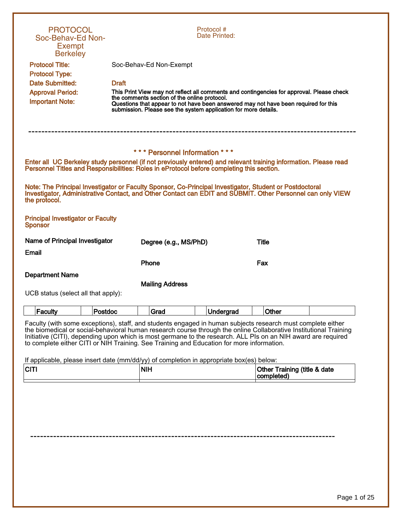| Protocol #<br>Date Printed:                                                                                                                                                                                                                                                                                                                                                                                                                               |                                                                                                                              |                     |                        |                                                                                                                     |                                                                                                                                                                                                                                                                                                                                                                                                                                                                                                                                                                                                  |
|-----------------------------------------------------------------------------------------------------------------------------------------------------------------------------------------------------------------------------------------------------------------------------------------------------------------------------------------------------------------------------------------------------------------------------------------------------------|------------------------------------------------------------------------------------------------------------------------------|---------------------|------------------------|---------------------------------------------------------------------------------------------------------------------|--------------------------------------------------------------------------------------------------------------------------------------------------------------------------------------------------------------------------------------------------------------------------------------------------------------------------------------------------------------------------------------------------------------------------------------------------------------------------------------------------------------------------------------------------------------------------------------------------|
|                                                                                                                                                                                                                                                                                                                                                                                                                                                           | Soc-Behav-Ed Non-Exempt                                                                                                      |                     |                        |                                                                                                                     |                                                                                                                                                                                                                                                                                                                                                                                                                                                                                                                                                                                                  |
| <b>Draft</b>                                                                                                                                                                                                                                                                                                                                                                                                                                              |                                                                                                                              |                     |                        |                                                                                                                     |                                                                                                                                                                                                                                                                                                                                                                                                                                                                                                                                                                                                  |
|                                                                                                                                                                                                                                                                                                                                                                                                                                                           |                                                                                                                              |                     |                        |                                                                                                                     |                                                                                                                                                                                                                                                                                                                                                                                                                                                                                                                                                                                                  |
|                                                                                                                                                                                                                                                                                                                                                                                                                                                           |                                                                                                                              |                     |                        |                                                                                                                     |                                                                                                                                                                                                                                                                                                                                                                                                                                                                                                                                                                                                  |
|                                                                                                                                                                                                                                                                                                                                                                                                                                                           |                                                                                                                              |                     |                        |                                                                                                                     |                                                                                                                                                                                                                                                                                                                                                                                                                                                                                                                                                                                                  |
|                                                                                                                                                                                                                                                                                                                                                                                                                                                           |                                                                                                                              |                     |                        |                                                                                                                     |                                                                                                                                                                                                                                                                                                                                                                                                                                                                                                                                                                                                  |
| Note: The Principal Investigator or Faculty Sponsor, Co-Principal Investigator, Student or Postdoctoral<br>Investigator, Administrative Contact, and Other Contact can EDIT and SUBMIT. Other Personnel can only VIEW<br>the protocol.                                                                                                                                                                                                                    |                                                                                                                              |                     |                        |                                                                                                                     |                                                                                                                                                                                                                                                                                                                                                                                                                                                                                                                                                                                                  |
|                                                                                                                                                                                                                                                                                                                                                                                                                                                           |                                                                                                                              |                     |                        |                                                                                                                     |                                                                                                                                                                                                                                                                                                                                                                                                                                                                                                                                                                                                  |
|                                                                                                                                                                                                                                                                                                                                                                                                                                                           |                                                                                                                              |                     |                        | <b>Title</b>                                                                                                        |                                                                                                                                                                                                                                                                                                                                                                                                                                                                                                                                                                                                  |
|                                                                                                                                                                                                                                                                                                                                                                                                                                                           |                                                                                                                              |                     |                        |                                                                                                                     |                                                                                                                                                                                                                                                                                                                                                                                                                                                                                                                                                                                                  |
|                                                                                                                                                                                                                                                                                                                                                                                                                                                           |                                                                                                                              |                     |                        | Fax                                                                                                                 |                                                                                                                                                                                                                                                                                                                                                                                                                                                                                                                                                                                                  |
|                                                                                                                                                                                                                                                                                                                                                                                                                                                           |                                                                                                                              |                     |                        |                                                                                                                     |                                                                                                                                                                                                                                                                                                                                                                                                                                                                                                                                                                                                  |
|                                                                                                                                                                                                                                                                                                                                                                                                                                                           |                                                                                                                              |                     |                        |                                                                                                                     |                                                                                                                                                                                                                                                                                                                                                                                                                                                                                                                                                                                                  |
|                                                                                                                                                                                                                                                                                                                                                                                                                                                           | Grad                                                                                                                         |                     |                        | $ $ Other                                                                                                           |                                                                                                                                                                                                                                                                                                                                                                                                                                                                                                                                                                                                  |
| Faculty<br>Faculty (with some exceptions), staff, and students engaged in human subjects research must complete either<br>the biomedical or social-behavioral human research course through the online Collaborative Institutional Training<br>Initiative (CITI), depending upon which is most germane to the research. ALL PIs on an NIH award are required<br>to complete either CITI or NIH Training. See Training and Education for more information. |                                                                                                                              |                     |                        |                                                                                                                     |                                                                                                                                                                                                                                                                                                                                                                                                                                                                                                                                                                                                  |
|                                                                                                                                                                                                                                                                                                                                                                                                                                                           |                                                                                                                              |                     |                        |                                                                                                                     |                                                                                                                                                                                                                                                                                                                                                                                                                                                                                                                                                                                                  |
|                                                                                                                                                                                                                                                                                                                                                                                                                                                           |                                                                                                                              |                     |                        | completed)                                                                                                          |                                                                                                                                                                                                                                                                                                                                                                                                                                                                                                                                                                                                  |
|                                                                                                                                                                                                                                                                                                                                                                                                                                                           |                                                                                                                              |                     |                        |                                                                                                                     |                                                                                                                                                                                                                                                                                                                                                                                                                                                                                                                                                                                                  |
|                                                                                                                                                                                                                                                                                                                                                                                                                                                           | <b>Principal Investigator or Faculty</b><br>Name of Principal Investigator<br>UCB status (select all that apply):<br>Postdoc | Phone<br><b>NIH</b> | <b>Mailing Address</b> | the comments section of the online protocol.<br>*** Personnel Information ***<br>Degree (e.g., MS/PhD)<br>Undergrad | This Print View may not reflect all comments and contingencies for approval. Please check<br>Questions that appear to not have been answered may not have been required for this<br>submission. Please see the system application for more details.<br>Enter all UC Berkeley study personnel (if not previously entered) and relevant training information. Please read<br>Personnel Titles and Responsibilities: Roles in eProtocol before completing this section.<br>If applicable, please insert date (mm/dd/yy) of completion in appropriate box(es) below:<br>Other Training (title & date |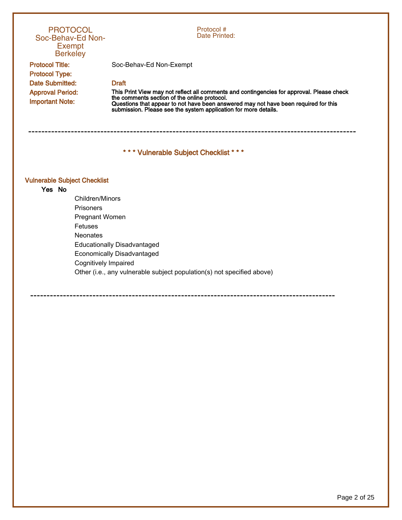# **PROTOCOL** Soc-Behav-Ed Non-Exempt **Berkeley**

Protocol # Date Printed:

Protocol Title: Protocol Type: Date Submitted: Approval Period: Important Note:

Soc-Behav-Ed Non-Exempt

#### Draft

This Print View may not reflect all comments and contingencies for approval. Please check the comments section of the online protocol. Questions that appear to not have been answered may not have been required for this submission. Please see the system application for more details.

\* \* \* Vulnerable Subject Checklist \* \* \*

2 ----------------------------------------------------------------------------------------------------

# Vulnerable Subject Checklist

Yes No

Children/Minors **Prisoners** Pregnant Women Fetuses Neonates Educationally Disadvantaged Economically Disadvantaged Cognitively Impaired Other (i.e., any vulnerable subject population(s) not specified above)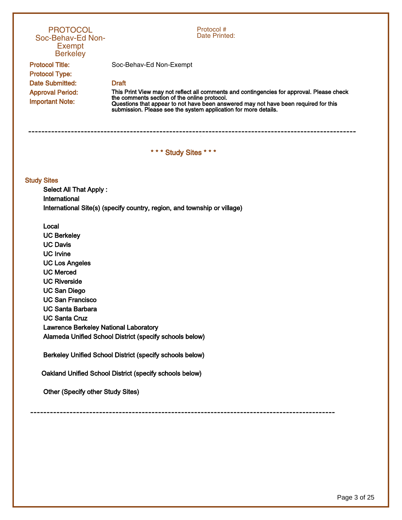## **PROTOCOL** Soc-Behav-Ed Non-Exempt **Berkeley**

Protocol # Date Printed:

Protocol Title: Protocol Type: Date Submitted: Approval Period: Important Note:

Soc-Behav-Ed Non-Exempt

## Draft

This Print View may not reflect all comments and contingencies for approval. Please check the comments section of the online protocol. Questions that appear to not have been answered may not have been required for this submission. Please see the system application for more details.

\* \* \* Study Sites \* \* \*

3 ----------------------------------------------------------------------------------------------------

## Study Sites

 Select All That Apply : International International Site(s) (specify country, region, and township or village)

 Local UC Berkeley UC Davis UC Irvine UC Los Angeles UC Merced UC Riverside UC San Diego UC San Francisco UC Santa Barbara UC Santa Cruz Lawrence Berkeley National Laboratory Alameda Unified School District (specify schools below)

Berkeley Unified School District (specify schools below)

Oakland Unified School District (specify schools below)

Other (Specify other Study Sites)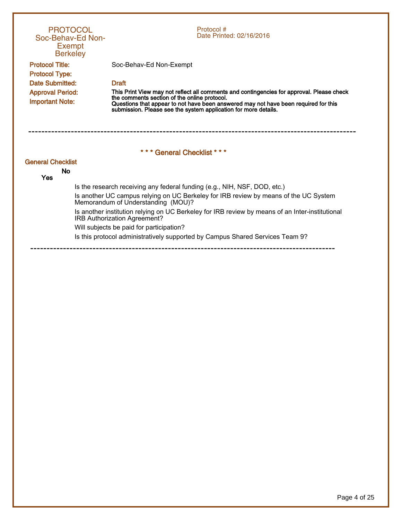| <b>PROTOCOL</b><br>Soc-Behav-Ed Non-<br><b>Exempt</b><br><b>Berkeley</b>                                                        | Protocol #<br>Date Printed: 02/16/2016                                                                                                                                                                                                                                                           |  |  |
|---------------------------------------------------------------------------------------------------------------------------------|--------------------------------------------------------------------------------------------------------------------------------------------------------------------------------------------------------------------------------------------------------------------------------------------------|--|--|
| <b>Protocol Title:</b>                                                                                                          | Soc-Behav-Ed Non-Exempt                                                                                                                                                                                                                                                                          |  |  |
| <b>Protocol Type:</b>                                                                                                           |                                                                                                                                                                                                                                                                                                  |  |  |
| <b>Date Submitted:</b>                                                                                                          | <b>Draft</b>                                                                                                                                                                                                                                                                                     |  |  |
| <b>Approval Period:</b><br><b>Important Note:</b>                                                                               | This Print View may not reflect all comments and contingencies for approval. Please check the comments section of the online protocol.<br>Questions that appear to not have been answered may not have been required for this<br>submission. Please see the system application for more details. |  |  |
|                                                                                                                                 | *** General Checklist ***                                                                                                                                                                                                                                                                        |  |  |
| <b>General Checklist</b>                                                                                                        |                                                                                                                                                                                                                                                                                                  |  |  |
| <b>No</b><br>Yes                                                                                                                |                                                                                                                                                                                                                                                                                                  |  |  |
|                                                                                                                                 | Is the research receiving any federal funding (e.g., NIH, NSF, DOD, etc.)                                                                                                                                                                                                                        |  |  |
|                                                                                                                                 | Is another UC campus relying on UC Berkeley for IRB review by means of the UC System<br>Memorandum of Understanding (MOU)?                                                                                                                                                                       |  |  |
| Is another institution relying on UC Berkeley for IRB review by means of an Inter-institutional<br>IRB Authorization Agreement? |                                                                                                                                                                                                                                                                                                  |  |  |
|                                                                                                                                 | Will subjects be paid for participation?                                                                                                                                                                                                                                                         |  |  |
|                                                                                                                                 | Is this protocol administratively supported by Campus Shared Services Team 9?                                                                                                                                                                                                                    |  |  |
|                                                                                                                                 |                                                                                                                                                                                                                                                                                                  |  |  |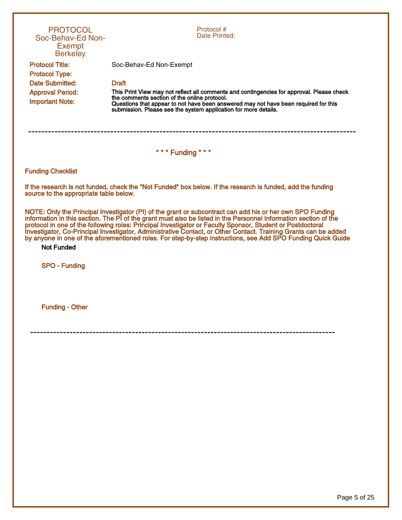| <b>PROTOCOL</b><br>Soc-Behav-Ed Non-                                                                                                                                                                                                                                                                                                                                                                                                                                                                                                                                                                | Protocol #<br>Date Printed:                                                                                                                                                                                                                                                                         |  |  |  |
|-----------------------------------------------------------------------------------------------------------------------------------------------------------------------------------------------------------------------------------------------------------------------------------------------------------------------------------------------------------------------------------------------------------------------------------------------------------------------------------------------------------------------------------------------------------------------------------------------------|-----------------------------------------------------------------------------------------------------------------------------------------------------------------------------------------------------------------------------------------------------------------------------------------------------|--|--|--|
| <b>Exempt</b><br><b>Berkeley</b>                                                                                                                                                                                                                                                                                                                                                                                                                                                                                                                                                                    |                                                                                                                                                                                                                                                                                                     |  |  |  |
| <b>Protocol Title:</b><br><b>Protocol Type:</b>                                                                                                                                                                                                                                                                                                                                                                                                                                                                                                                                                     | Soc-Behav-Ed Non-Exempt                                                                                                                                                                                                                                                                             |  |  |  |
| <b>Date Submitted:</b>                                                                                                                                                                                                                                                                                                                                                                                                                                                                                                                                                                              | <b>Draft</b>                                                                                                                                                                                                                                                                                        |  |  |  |
| <b>Approval Period:</b><br><b>Important Note:</b>                                                                                                                                                                                                                                                                                                                                                                                                                                                                                                                                                   | This Print View may not reflect all comments and contingencies for approval. Please check<br>the comments section of the online protocol.<br>Questions that appear to not have been answered may not have been required for this<br>submission. Please see the system application for more details. |  |  |  |
|                                                                                                                                                                                                                                                                                                                                                                                                                                                                                                                                                                                                     |                                                                                                                                                                                                                                                                                                     |  |  |  |
|                                                                                                                                                                                                                                                                                                                                                                                                                                                                                                                                                                                                     | *** Funding ***                                                                                                                                                                                                                                                                                     |  |  |  |
| <b>Funding Checklist</b>                                                                                                                                                                                                                                                                                                                                                                                                                                                                                                                                                                            |                                                                                                                                                                                                                                                                                                     |  |  |  |
| source to the appropriate table below.                                                                                                                                                                                                                                                                                                                                                                                                                                                                                                                                                              | If the research is not funded, check the "Not Funded" box below. If the research is funded, add the funding                                                                                                                                                                                         |  |  |  |
| NOTE: Only the Principal Investigator (PI) of the grant or subcontract can add his or her own SPO Funding<br>information in this section. The PI of the grant must also be listed in the Personnel Information section of the<br>protocol in one of the following roles: Principal Investigator or Faculty Sponsor, Student or Postdoctoral<br>Investigator, Co-Principal Investigator, Administrative Contact, or Other Contact. Training Grants can be added<br>by anyone in one of the aforementioned roles. For step-by-step instructions, see Add SPO Funding Quick Guide<br><b>Not Funded</b> |                                                                                                                                                                                                                                                                                                     |  |  |  |
| <b>SPO - Funding</b>                                                                                                                                                                                                                                                                                                                                                                                                                                                                                                                                                                                |                                                                                                                                                                                                                                                                                                     |  |  |  |
|                                                                                                                                                                                                                                                                                                                                                                                                                                                                                                                                                                                                     |                                                                                                                                                                                                                                                                                                     |  |  |  |
| <b>Funding - Other</b>                                                                                                                                                                                                                                                                                                                                                                                                                                                                                                                                                                              |                                                                                                                                                                                                                                                                                                     |  |  |  |
|                                                                                                                                                                                                                                                                                                                                                                                                                                                                                                                                                                                                     |                                                                                                                                                                                                                                                                                                     |  |  |  |
|                                                                                                                                                                                                                                                                                                                                                                                                                                                                                                                                                                                                     |                                                                                                                                                                                                                                                                                                     |  |  |  |
|                                                                                                                                                                                                                                                                                                                                                                                                                                                                                                                                                                                                     |                                                                                                                                                                                                                                                                                                     |  |  |  |
|                                                                                                                                                                                                                                                                                                                                                                                                                                                                                                                                                                                                     |                                                                                                                                                                                                                                                                                                     |  |  |  |
|                                                                                                                                                                                                                                                                                                                                                                                                                                                                                                                                                                                                     |                                                                                                                                                                                                                                                                                                     |  |  |  |
|                                                                                                                                                                                                                                                                                                                                                                                                                                                                                                                                                                                                     |                                                                                                                                                                                                                                                                                                     |  |  |  |
|                                                                                                                                                                                                                                                                                                                                                                                                                                                                                                                                                                                                     |                                                                                                                                                                                                                                                                                                     |  |  |  |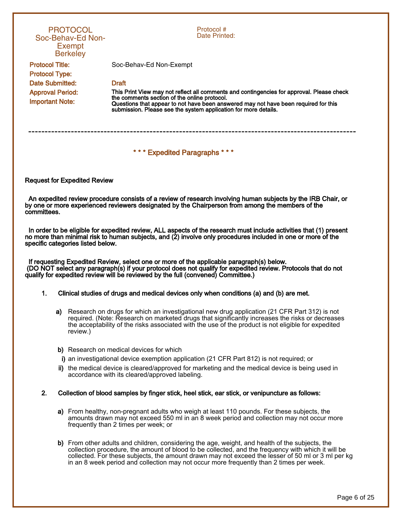| <b>PROTOCOL</b><br>Soc-Behav-Ed Non-<br>Exempt<br><b>Berkeley</b>                                                                                                                                                               | Protocol #<br>Date Printed:                                                                                                                                                                                                                                                                         |  |  |
|---------------------------------------------------------------------------------------------------------------------------------------------------------------------------------------------------------------------------------|-----------------------------------------------------------------------------------------------------------------------------------------------------------------------------------------------------------------------------------------------------------------------------------------------------|--|--|
| <b>Protocol Title:</b><br><b>Protocol Type:</b>                                                                                                                                                                                 | Soc-Behav-Ed Non-Exempt                                                                                                                                                                                                                                                                             |  |  |
| Date Submitted:                                                                                                                                                                                                                 | <b>Draft</b>                                                                                                                                                                                                                                                                                        |  |  |
| <b>Approval Period:</b><br><b>Important Note:</b>                                                                                                                                                                               | This Print View may not reflect all comments and contingencies for approval. Please check<br>the comments section of the online protocol.<br>Questions that appear to not have been answered may not have been required for this<br>submission. Please see the system application for more details. |  |  |
|                                                                                                                                                                                                                                 | *** Expedited Paragraphs ***                                                                                                                                                                                                                                                                        |  |  |
| <b>Request for Expedited Review</b>                                                                                                                                                                                             |                                                                                                                                                                                                                                                                                                     |  |  |
| An expedited review procedure consists of a review of research involving human subjects by the IRB Chair, or<br>by one or more experienced reviewers designated by the Chairperson from among the members of the<br>committees. |                                                                                                                                                                                                                                                                                                     |  |  |

 In order to be eligible for expedited review, ALL aspects of the research must include activities that (1) present no more than minimal risk to human subjects, and (2) involve only procedures included in one or more of the specific categories listed below.

 If requesting Expedited Review, select one or more of the applicable paragraph(s) below. (DO NOT select any paragraph(s) if your protocol does not qualify for expedited review. Protocols that do not qualify for expedited review will be reviewed by the full (convened) Committee.)

## 1. Clinical studies of drugs and medical devices only when conditions (a) and (b) are met.

- a) Research on drugs for which an investigational new drug application (21 CFR Part 312) is not required. (Note: Research on marketed drugs that significantly increases the risks or decreases the acceptability of the risks associated with the use of the product is not eligible for expedited review.)
- b) Research on medical devices for which
- i) an investigational device exemption application (21 CFR Part 812) is not required; or
- ii) the medical device is cleared/approved for marketing and the medical device is being used in accordance with its cleared/approved labeling.

## 2. Collection of blood samples by finger stick, heel stick, ear stick, or venipuncture as follows:

- a) From healthy, non-pregnant adults who weigh at least 110 pounds. For these subjects, the amounts drawn may not exceed 550 ml in an 8 week period and collection may not occur more frequently than 2 times per week; or
- b) From other adults and children, considering the age, weight, and health of the subjects, the collection procedure, the amount of blood to be collected, and the frequency with which it will be collected. For these subjects, the amount drawn may not exceed the lesser of 50 ml or 3 ml per kg in an 8 week period and collection may not occur more frequently than 2 times per week.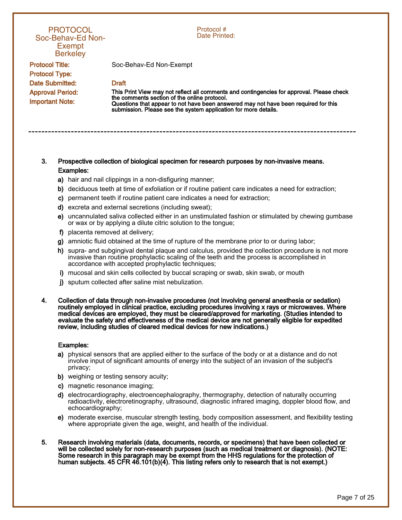# **PROTOCOL** Soc-Behav-Ed Non-Exempt **Berkeley**

Protocol # Date Printed:

Protocol Title: Protocol Type: Date Submitted: Approval Period: Important Note:

Soc-Behav-Ed Non-Exempt

### Draft

This Print View may not reflect all comments and contingencies for approval. Please check the comments section of the online protocol. Questions that appear to not have been answered may not have been required for this submission. Please see the system application for more details.

# 3. Prospective collection of biological specimen for research purposes by non-invasive means. Examples:

- a) hair and nail clippings in a non-disfiguring manner;
- b) deciduous teeth at time of exfoliation or if routine patient care indicates a need for extraction;

1

----------------------------------------------------------------------------------------------------

- c) permanent teeth if routine patient care indicates a need for extraction;
- d) excreta and external secretions (including sweat);
- e) uncannulated saliva collected either in an unstimulated fashion or stimulated by chewing gumbase or wax or by applying a dilute citric solution to the tongue;
- f) placenta removed at delivery;
- g) amniotic fluid obtained at the time of rupture of the membrane prior to or during labor;
- h) supra- and subgingival dental plaque and calculus, provided the collection procedure is not more invasive than routine prophylactic scaling of the teeth and the process is accomplished in accordance with accepted prophylactic techniques;
- i) mucosal and skin cells collected by buccal scraping or swab, skin swab, or mouth
- j) sputum collected after saline mist nebulization.
- 4. Collection of data through non-invasive procedures (not involving general anesthesia or sedation) routinely employed in clinical practice, excluding procedures involving x rays or microwaves. Where medical devices are employed, they must be cleared/approved for marketing. (Studies intended to evaluate the safety and effectiveness of the medical device are not generally eligible for expedited review, including studies of cleared medical devices for new indications.)

#### Examples:

- a) physical sensors that are applied either to the surface of the body or at a distance and do not involve input of significant amounts of energy into the subject of an invasion of the subject's privacy;
- b) weighing or testing sensory acuity;
- c) magnetic resonance imaging;
- d) electrocardiography, electroencephalography, thermography, detection of naturally occurring radioactivity, electroretinography, ultrasound, diagnostic infrared imaging, doppler blood flow, and echocardiography;
- e) moderate exercise, muscular strength testing, body composition assessment, and flexibility testing where appropriate given the age, weight, and health of the individual.
- 5. Research involving materials (data, documents, records, or specimens) that have been collected or will be collected solely for non-research purposes (such as medical treatment or diagnosis). (NOTE: Some research in this paragraph may be exempt from the HHS regulations for the protection of human subjects. 45 CFR 46.101(b)(4). This listing refers only to research that is not exempt.)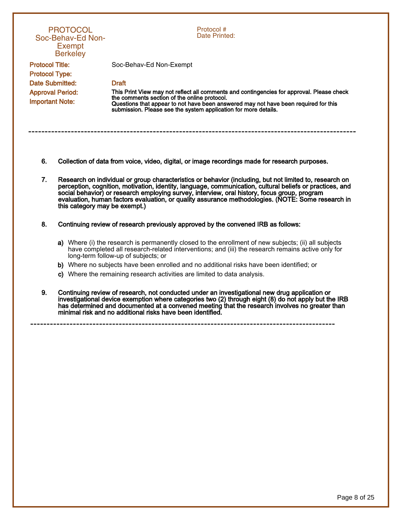|                                                   | <b>PROTOCOL</b><br>Soc-Behav-Ed Non-<br><b>Exempt</b><br><b>Berkeley</b>                                                                                                                                                                                                                                                                                                                                                                                  | Protocol #<br>Date Printed:                                                                                                                                                                                                                                                                                                                                           |  |
|---------------------------------------------------|-----------------------------------------------------------------------------------------------------------------------------------------------------------------------------------------------------------------------------------------------------------------------------------------------------------------------------------------------------------------------------------------------------------------------------------------------------------|-----------------------------------------------------------------------------------------------------------------------------------------------------------------------------------------------------------------------------------------------------------------------------------------------------------------------------------------------------------------------|--|
| <b>Protocol Title:</b>                            |                                                                                                                                                                                                                                                                                                                                                                                                                                                           | Soc-Behav-Ed Non-Exempt                                                                                                                                                                                                                                                                                                                                               |  |
| <b>Protocol Type:</b>                             |                                                                                                                                                                                                                                                                                                                                                                                                                                                           |                                                                                                                                                                                                                                                                                                                                                                       |  |
| <b>Date Submitted:</b>                            |                                                                                                                                                                                                                                                                                                                                                                                                                                                           | <b>Draft</b>                                                                                                                                                                                                                                                                                                                                                          |  |
| <b>Approval Period:</b><br><b>Important Note:</b> |                                                                                                                                                                                                                                                                                                                                                                                                                                                           | This Print View may not reflect all comments and contingencies for approval. Please check<br>the comments section of the online protocol.<br>Questions that appear to not have been answered may not have been required for this<br>submission. Please see the system application for more details.                                                                   |  |
|                                                   |                                                                                                                                                                                                                                                                                                                                                                                                                                                           |                                                                                                                                                                                                                                                                                                                                                                       |  |
| 6.                                                |                                                                                                                                                                                                                                                                                                                                                                                                                                                           | Collection of data from voice, video, digital, or image recordings made for research purposes.                                                                                                                                                                                                                                                                        |  |
| 7.                                                | Research on individual or group characteristics or behavior (including, but not limited to, research on<br>perception, cognition, motivation, identity, language, communication, cultural beliefs or practices, and<br>social behavior) or research employing survey, interview, oral history, focus group, program<br>evaluation, human factors evaluation, or quality assurance methodologies. (NOTE: Some research in<br>this category may be exempt.) |                                                                                                                                                                                                                                                                                                                                                                       |  |
| 8.                                                |                                                                                                                                                                                                                                                                                                                                                                                                                                                           | Continuing review of research previously approved by the convened IRB as follows:                                                                                                                                                                                                                                                                                     |  |
|                                                   |                                                                                                                                                                                                                                                                                                                                                                                                                                                           | a) Where (i) the research is permanently closed to the enrollment of new subjects; (ii) all subjects<br>have completed all research-related interventions; and (iii) the research remains active only for<br>long-term follow-up of subjects; or                                                                                                                      |  |
|                                                   |                                                                                                                                                                                                                                                                                                                                                                                                                                                           | b) Where no subjects have been enrolled and no additional risks have been identified; or                                                                                                                                                                                                                                                                              |  |
|                                                   |                                                                                                                                                                                                                                                                                                                                                                                                                                                           | c) Where the remaining research activities are limited to data analysis.                                                                                                                                                                                                                                                                                              |  |
| 9.                                                |                                                                                                                                                                                                                                                                                                                                                                                                                                                           | Continuing review of research, not conducted under an investigational new drug application or<br>investigational device exemption where categories two (2) through eight (8) do not apply but the IRB<br>has determined and documented at a convened meeting that the research involves no greater than<br>minimal risk and no additional risks have been identified. |  |
|                                                   |                                                                                                                                                                                                                                                                                                                                                                                                                                                           |                                                                                                                                                                                                                                                                                                                                                                       |  |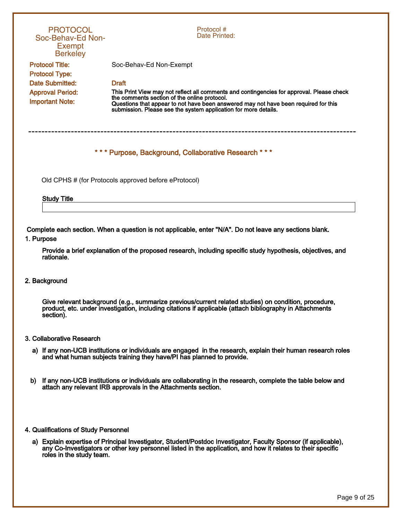| <b>PROTOCOL</b><br>Soc-Behav-Ed Non-<br><b>Exempt</b><br><b>Berkelev</b>                                                                                                                                                                          | Protocol #<br>Date Printed:                                                                                                                                                                                                                                                                         |  |  |
|---------------------------------------------------------------------------------------------------------------------------------------------------------------------------------------------------------------------------------------------------|-----------------------------------------------------------------------------------------------------------------------------------------------------------------------------------------------------------------------------------------------------------------------------------------------------|--|--|
| <b>Protocol Title:</b>                                                                                                                                                                                                                            | Soc-Behav-Ed Non-Exempt                                                                                                                                                                                                                                                                             |  |  |
| <b>Protocol Type:</b>                                                                                                                                                                                                                             |                                                                                                                                                                                                                                                                                                     |  |  |
| <b>Date Submitted:</b>                                                                                                                                                                                                                            | <b>Draft</b>                                                                                                                                                                                                                                                                                        |  |  |
| <b>Approval Period:</b><br><b>Important Note:</b>                                                                                                                                                                                                 | This Print View may not reflect all comments and contingencies for approval. Please check<br>the comments section of the online protocol.<br>Questions that appear to not have been answered may not have been required for this<br>submission. Please see the system application for more details. |  |  |
|                                                                                                                                                                                                                                                   | *** Purpose, Background, Collaborative Research ***                                                                                                                                                                                                                                                 |  |  |
| Old CPHS # (for Protocols approved before eProtocol)<br><b>Study Title</b>                                                                                                                                                                        |                                                                                                                                                                                                                                                                                                     |  |  |
| Complete each section. When a question is not applicable, enter "N/A". Do not leave any sections blank.<br>1. Purpose<br>Provide a brief explanation of the proposed research, including specific study hypothesis, objectives, and<br>rationale. |                                                                                                                                                                                                                                                                                                     |  |  |
| 2. Background                                                                                                                                                                                                                                     |                                                                                                                                                                                                                                                                                                     |  |  |
| section).                                                                                                                                                                                                                                         | Give relevant background (e.g., summarize previous/current related studies) on condition, procedure,<br>product, etc. under investigation, including citations if applicable (attach bibliography in Attachments                                                                                    |  |  |
| 3. Collaborative Research                                                                                                                                                                                                                         |                                                                                                                                                                                                                                                                                                     |  |  |
|                                                                                                                                                                                                                                                   | a) If any non-UCB institutions or individuals are engaged in the research, explain their human research roles<br>and what human subjects training they have/PI has planned to provide.                                                                                                              |  |  |
| b)                                                                                                                                                                                                                                                | If any non-UCB institutions or individuals are collaborating in the research, complete the table below and<br>attach any relevant IRB approvals in the Attachments section.                                                                                                                         |  |  |

# 4. Qualifications of Study Personnel

a) Explain expertise of Principal Investigator, Student/Postdoc Investigator, Faculty Sponsor (if applicable), any Co-Investigators or other key personnel listed in the application, and how it relates to their specific roles in the study team.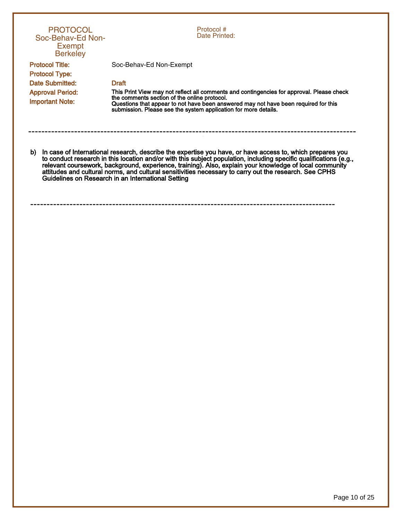| <b>PROTOCOL</b><br>Soc-Behav-Ed Non-<br>Exempt<br><b>Berkeley</b>                                                                                                                                                                                                                                                                                                                                                                                                                                                | Protocol #<br>Date Printed:                                                                                                                                                                                                                                                                                         |  |
|------------------------------------------------------------------------------------------------------------------------------------------------------------------------------------------------------------------------------------------------------------------------------------------------------------------------------------------------------------------------------------------------------------------------------------------------------------------------------------------------------------------|---------------------------------------------------------------------------------------------------------------------------------------------------------------------------------------------------------------------------------------------------------------------------------------------------------------------|--|
| <b>Protocol Title:</b><br><b>Protocol Type:</b>                                                                                                                                                                                                                                                                                                                                                                                                                                                                  | Soc-Behav-Ed Non-Exempt                                                                                                                                                                                                                                                                                             |  |
| Date Submitted:                                                                                                                                                                                                                                                                                                                                                                                                                                                                                                  | <b>Draft</b><br>This Print View may not reflect all comments and contingencies for approval. Please check<br>the comments section of the online protocol.<br>Questions that appear to not have been answered may not have been required for this<br>submission. Please see the system application for more details. |  |
| <b>Approval Period:</b><br><b>Important Note:</b>                                                                                                                                                                                                                                                                                                                                                                                                                                                                |                                                                                                                                                                                                                                                                                                                     |  |
| In case of International research, describe the expertise you have, or have access to, which prepares you<br>b)<br>to conduct research in this location and/or with this subject population, including specific qualifications (e.g.,<br>relevant coursework, background, experience, training). Also, explain your knowledge of local community<br>attitudes and cultural norms, and cultural sensitivities necessary to carry out the research. See CPHS<br>Guidelines on Research in an International Setting |                                                                                                                                                                                                                                                                                                                     |  |
|                                                                                                                                                                                                                                                                                                                                                                                                                                                                                                                  |                                                                                                                                                                                                                                                                                                                     |  |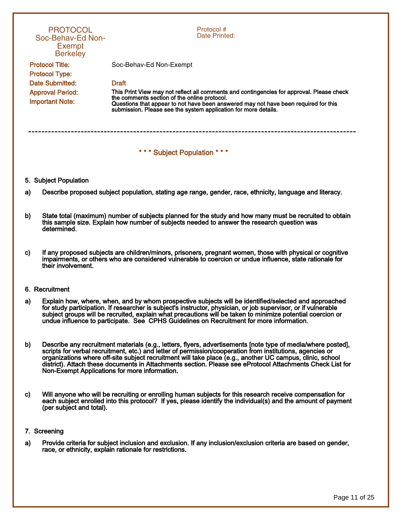| <b>PROTOCOL</b><br>Soc-Behav-Ed Non-<br>Exempt<br><b>Berkeley</b> | Protocol #<br>Date Printed:                                                                                                                                                                                                                                                                                         |  |  |
|-------------------------------------------------------------------|---------------------------------------------------------------------------------------------------------------------------------------------------------------------------------------------------------------------------------------------------------------------------------------------------------------------|--|--|
| <b>Protocol Title:</b><br><b>Protocol Type:</b>                   | Soc-Behav-Ed Non-Exempt                                                                                                                                                                                                                                                                                             |  |  |
| Date Submitted:                                                   | <b>Draft</b><br>This Print View may not reflect all comments and contingencies for approval. Please check<br>the comments section of the online protocol.<br>Questions that appear to not have been answered may not have been required for this<br>submission. Please see the system application for more details. |  |  |
| <b>Approval Period:</b><br><b>Important Note:</b>                 |                                                                                                                                                                                                                                                                                                                     |  |  |
|                                                                   | *** Subject Population ***                                                                                                                                                                                                                                                                                          |  |  |

- 5. Subject Population
- a) Describe proposed subject population, stating age range, gender, race, ethnicity, language and literacy.
- b) State total (maximum) number of subjects planned for the study and how many must be recruited to obtain this sample size. Explain how number of subjects needed to answer the research question was determined.
- c) If any proposed subjects are children/minors, prisoners, pregnant women, those with physical or cognitive impairments, or others who are considered vulnerable to coercion or undue influence, state rationale for their involvement.

## 6. Recruitment

- a) Explain how, where, when, and by whom prospective subjects will be identified/selected and approached for study participation. If researcher is subject's instructor, physician, or job supervisor, or if vulnerable subject groups will be recruited, explain what precautions will be taken to minimize potential coercion or undue influence to participate. See CPHS Guidelines on Recruitment for more information.
- b) Describe any recruitment materials (e.g., letters, flyers, advertisements [note type of media/where posted], scripts for verbal recruitment, etc.) and letter of permission/cooperation from institutions, agencies or organizations where off-site subject recruitment will take place (e.g., another UC campus, clinic, school district). Attach these documents in Attachments section. Please see eProtocol Attachments Check List for Non-Exempt Applications for more information.
- c) Will anyone who will be recruiting or enrolling human subjects for this research receive compensation for each subject enrolled into this protocol? If yes, please identify the individual(s) and the amount of payment (per subject and total).

## 7. Screening

a) Provide criteria for subject inclusion and exclusion. If any inclusion/exclusion criteria are based on gender, race, or ethnicity, explain rationale for restrictions.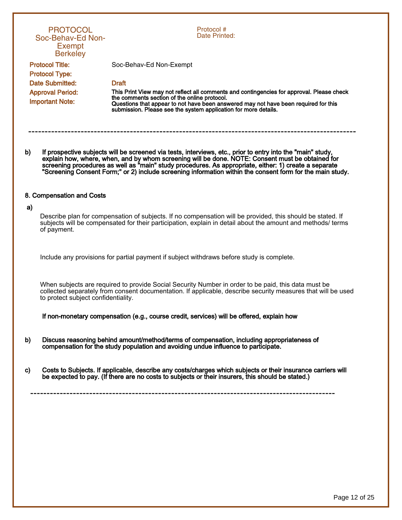| <b>PROTOCOL</b><br>Soc-Behav-Ed Non-<br><b>Exempt</b><br><b>Berkelev</b><br><b>Protocol Title:</b><br><b>Protocol Type:</b><br><b>Date Submitted:</b><br><b>Approval Period:</b><br><b>Important Note:</b> |                                     | Protocol #<br>Date Printed:                                                                                                                                                                                                                                                                                                                                                                                                           |
|------------------------------------------------------------------------------------------------------------------------------------------------------------------------------------------------------------|-------------------------------------|---------------------------------------------------------------------------------------------------------------------------------------------------------------------------------------------------------------------------------------------------------------------------------------------------------------------------------------------------------------------------------------------------------------------------------------|
|                                                                                                                                                                                                            |                                     | Soc-Behav-Ed Non-Exempt                                                                                                                                                                                                                                                                                                                                                                                                               |
|                                                                                                                                                                                                            |                                     |                                                                                                                                                                                                                                                                                                                                                                                                                                       |
|                                                                                                                                                                                                            |                                     | <b>Draft</b>                                                                                                                                                                                                                                                                                                                                                                                                                          |
|                                                                                                                                                                                                            |                                     | This Print View may not reflect all comments and contingencies for approval. Please check<br>the comments section of the online protocol.<br>Questions that appear to not have been answered may not have been required for this<br>submission. Please see the system application for more details.                                                                                                                                   |
| b)                                                                                                                                                                                                         |                                     | If prospective subjects will be screened via tests, interviews, etc., prior to entry into the "main" study,<br>explain how, where, when, and by whom screening will be done. NOTE: Consent must be obtained for<br>screening procedures as well as "main" study procedures. As appropriate, either: 1) create a separate<br>"Screening Consent Form;" or 2) include screening information within the consent form for the main study. |
|                                                                                                                                                                                                            | 8. Compensation and Costs           |                                                                                                                                                                                                                                                                                                                                                                                                                                       |
| a)                                                                                                                                                                                                         | of payment.                         | Describe plan for compensation of subjects. If no compensation will be provided, this should be stated. If<br>subjects will be compensated for their participation, explain in detail about the amount and methods/ terms                                                                                                                                                                                                             |
|                                                                                                                                                                                                            |                                     | Include any provisions for partial payment if subject withdraws before study is complete.                                                                                                                                                                                                                                                                                                                                             |
|                                                                                                                                                                                                            | to protect subject confidentiality. | When subjects are required to provide Social Security Number in order to be paid, this data must be<br>collected separately from consent documentation. If applicable, describe security measures that will be used                                                                                                                                                                                                                   |
|                                                                                                                                                                                                            |                                     | If non-monetary compensation (e.g., course credit, services) will be offered, explain how                                                                                                                                                                                                                                                                                                                                             |
| b)                                                                                                                                                                                                         |                                     | Discuss reasoning behind amount/method/terms of compensation, including appropriateness of<br>compensation for the study population and avoiding undue influence to participate.                                                                                                                                                                                                                                                      |
| C)                                                                                                                                                                                                         |                                     | Costs to Subjects. If applicable, describe any costs/charges which subjects or their insurance carriers will<br>be expected to pay. (If there are no costs to subjects or their insurers, this should be stated.)                                                                                                                                                                                                                     |
|                                                                                                                                                                                                            |                                     |                                                                                                                                                                                                                                                                                                                                                                                                                                       |
|                                                                                                                                                                                                            |                                     |                                                                                                                                                                                                                                                                                                                                                                                                                                       |
|                                                                                                                                                                                                            |                                     |                                                                                                                                                                                                                                                                                                                                                                                                                                       |
|                                                                                                                                                                                                            |                                     |                                                                                                                                                                                                                                                                                                                                                                                                                                       |
|                                                                                                                                                                                                            |                                     |                                                                                                                                                                                                                                                                                                                                                                                                                                       |
|                                                                                                                                                                                                            |                                     |                                                                                                                                                                                                                                                                                                                                                                                                                                       |
|                                                                                                                                                                                                            |                                     |                                                                                                                                                                                                                                                                                                                                                                                                                                       |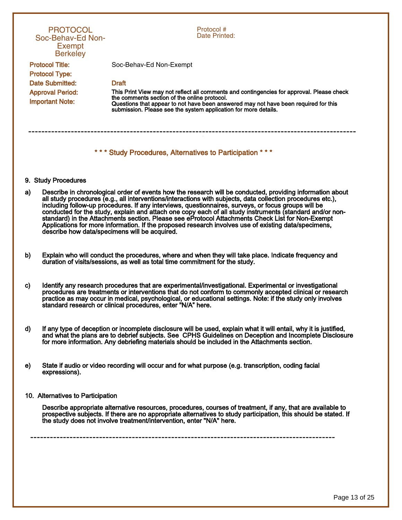| <b>PROTOCOL</b><br>Soc-Behav-Ed Non-<br>Exempt<br><b>Berkeley</b>    | Protocol #<br>Date Printed:                                                                                                                                                                                                                                                                                         |  |
|----------------------------------------------------------------------|---------------------------------------------------------------------------------------------------------------------------------------------------------------------------------------------------------------------------------------------------------------------------------------------------------------------|--|
| <b>Protocol Title:</b><br><b>Protocol Type:</b>                      | Soc-Behav-Ed Non-Exempt                                                                                                                                                                                                                                                                                             |  |
| Date Submitted:<br><b>Approval Period:</b><br><b>Important Note:</b> | <b>Draft</b><br>This Print View may not reflect all comments and contingencies for approval. Please check<br>the comments section of the online protocol.<br>Questions that appear to not have been answered may not have been required for this<br>submission. Please see the system application for more details. |  |
|                                                                      | *** Study Procedures, Alternatives to Participation ***                                                                                                                                                                                                                                                             |  |
| 9. Study Procedures                                                  |                                                                                                                                                                                                                                                                                                                     |  |
| a).                                                                  | Describe in chronological order of events how the research will be conducted, providing information about<br>للمام ممعرباومممعت عمالومالمم ملمات ملموا بالمنافس وموالهمعملوا ومعانسته والمستخدر المستمر واستنقابه والمسام الم                                                                                       |  |

- all study procedures (e.g., all interventions/interactions with subjects, data collection procedures etc.), including follow-up procedures. If any interviews, questionnaires, surveys, or focus groups will be conducted for the study, explain and attach one copy each of all study instruments (standard and/or nonstandard) in the Attachments section. Please see eProtocol Attachments Check List for Non-Exempt Applications for more information. If the proposed research involves use of existing data/specimens, describe how data/specimens will be acquired.
- b) Explain who will conduct the procedures, where and when they will take place. Indicate frequency and duration of visits/sessions, as well as total time commitment for the study.
- c) Identify any research procedures that are experimental/investigational. Experimental or investigational procedures are treatments or interventions that do not conform to commonly accepted clinical or research practice as may occur in medical, psychological, or educational settings. Note: if the study only involves standard research or clinical procedures, enter "N/A" here.
- d) If any type of deception or incomplete disclosure will be used, explain what it will entail, why it is justified, and what the plans are to debrief subjects. See CPHS Guidelines on Deception and Incomplete Disclosure for more information. Any debriefing materials should be included in the Attachments section.
- e) State if audio or video recording will occur and for what purpose (e.g. transcription, coding facial expressions).
- 10. Alternatives to Participation

Describe appropriate alternative resources, procedures, courses of treatment, if any, that are available to prospective subjects. If there are no appropriate alternatives to study participation, this should be stated. If the study does not involve treatment/intervention, enter "N/A" here.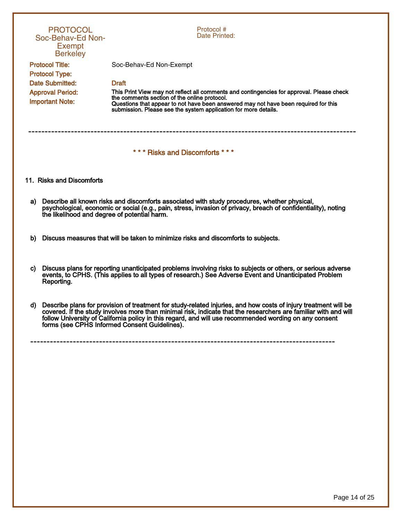| <b>PROTOCOL</b>                                                                                                                                                                                                                           | Protocol #<br>Date Printed:                                                                                                                                                                                                                                                                         |  |  |
|-------------------------------------------------------------------------------------------------------------------------------------------------------------------------------------------------------------------------------------------|-----------------------------------------------------------------------------------------------------------------------------------------------------------------------------------------------------------------------------------------------------------------------------------------------------|--|--|
|                                                                                                                                                                                                                                           |                                                                                                                                                                                                                                                                                                     |  |  |
|                                                                                                                                                                                                                                           |                                                                                                                                                                                                                                                                                                     |  |  |
|                                                                                                                                                                                                                                           | Draft                                                                                                                                                                                                                                                                                               |  |  |
|                                                                                                                                                                                                                                           | This Print View may not reflect all comments and contingencies for approval. Please check<br>the comments section of the online protocol.<br>Questions that appear to not have been answered may not have been required for this<br>submission. Please see the system application for more details. |  |  |
|                                                                                                                                                                                                                                           | *** Risks and Discomforts ***                                                                                                                                                                                                                                                                       |  |  |
|                                                                                                                                                                                                                                           | Describe all known risks and discomforts associated with study procedures, whether physical,<br>psychological, economic or social (e.g., pain, stress, invasion of privacy, breach of confidentiality), noting                                                                                      |  |  |
| Discuss measures that will be taken to minimize risks and discomforts to subjects.<br>b)                                                                                                                                                  |                                                                                                                                                                                                                                                                                                     |  |  |
| Discuss plans for reporting unanticipated problems involving risks to subjects or others, or serious adverse<br>C)<br>events, to CPHS. (This applies to all types of research.) See Adverse Event and Unanticipated Problem<br>Reporting. |                                                                                                                                                                                                                                                                                                     |  |  |
| follow University of California policy in this regard, and will use recommended wording on any consent<br>forms (see CPHS Informed Consent Guidelines).                                                                                   | Describe plans for provision of treatment for study-related injuries, and how costs of injury treatment will be<br>covered. If the study involves more than minimal risk, indicate that the researchers are familiar with and will                                                                  |  |  |
|                                                                                                                                                                                                                                           | Soc-Behav-Ed Non-<br><b>Exempt</b><br><b>Berkeley</b><br>Soc-Behav-Ed Non-Exempt<br><b>Date Submitted:</b><br><b>Approval Period:</b><br>11. Risks and Discomforts<br>the likelihood and degree of potential harm.                                                                                  |  |  |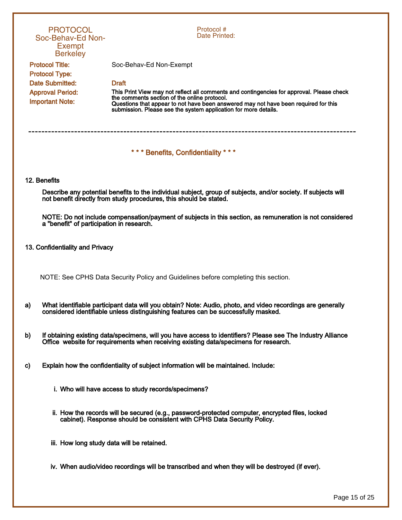| <b>PROTOCOL</b><br>Soc-Behav-Ed Non-<br><b>Exempt</b><br><b>Berkeley</b><br><b>Protocol Title:</b>                                                                                                                                                                                                                                                       | Protocol #<br>Date Printed:<br>Soc-Behav-Ed Non-Exempt                                                                                                                                              |  |  |  |
|----------------------------------------------------------------------------------------------------------------------------------------------------------------------------------------------------------------------------------------------------------------------------------------------------------------------------------------------------------|-----------------------------------------------------------------------------------------------------------------------------------------------------------------------------------------------------|--|--|--|
| <b>Protocol Type:</b>                                                                                                                                                                                                                                                                                                                                    |                                                                                                                                                                                                     |  |  |  |
| <b>Date Submitted:</b>                                                                                                                                                                                                                                                                                                                                   | <b>Draft</b>                                                                                                                                                                                        |  |  |  |
| This Print View may not reflect all comments and contingencies for approval. Please check<br><b>Approval Period:</b><br>the comments section of the online protocol.<br><b>Important Note:</b><br>Questions that appear to not have been answered may not have been required for this<br>submission. Please see the system application for more details. |                                                                                                                                                                                                     |  |  |  |
|                                                                                                                                                                                                                                                                                                                                                          | *** Benefits, Confidentiality ***                                                                                                                                                                   |  |  |  |
| 12. Benefits                                                                                                                                                                                                                                                                                                                                             |                                                                                                                                                                                                     |  |  |  |
|                                                                                                                                                                                                                                                                                                                                                          | Describe any potential benefits to the individual subject, group of subjects, and/or society. If subjects will<br>not benefit directly from study procedures, this should be stated.                |  |  |  |
| NOTE: Do not include compensation/payment of subjects in this section, as remuneration is not considered<br>a "benefit" of participation in research.                                                                                                                                                                                                    |                                                                                                                                                                                                     |  |  |  |
|                                                                                                                                                                                                                                                                                                                                                          | 13. Confidentiality and Privacy                                                                                                                                                                     |  |  |  |
|                                                                                                                                                                                                                                                                                                                                                          | NOTE: See CPHS Data Security Policy and Guidelines before completing this section.                                                                                                                  |  |  |  |
| What identifiable participant data will you obtain? Note: Audio, photo, and video recordings are generally<br>a)<br>considered identifiable unless distinguishing features can be successfully masked.                                                                                                                                                   |                                                                                                                                                                                                     |  |  |  |
| b)                                                                                                                                                                                                                                                                                                                                                       | If obtaining existing data/specimens, will you have access to identifiers? Please see The Industry Alliance<br>Office website for requirements when receiving existing data/specimens for research. |  |  |  |
| $\mathbf{c}$                                                                                                                                                                                                                                                                                                                                             | Explain how the confidentiality of subject information will be maintained. Include:                                                                                                                 |  |  |  |
|                                                                                                                                                                                                                                                                                                                                                          | i. Who will have access to study records/specimens?                                                                                                                                                 |  |  |  |
|                                                                                                                                                                                                                                                                                                                                                          | ii. How the records will be secured (e.g., password-protected computer, encrypted files, locked<br>cabinet). Response should be consistent with CPHS Data Security Policy.                          |  |  |  |
|                                                                                                                                                                                                                                                                                                                                                          | iii. How long study data will be retained.                                                                                                                                                          |  |  |  |
|                                                                                                                                                                                                                                                                                                                                                          | iv. When audio/video recordings will be transcribed and when they will be destroyed (if ever).                                                                                                      |  |  |  |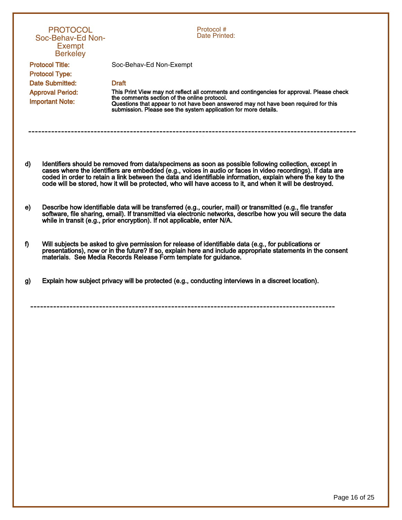|                                                   | <b>PROTOCOL</b><br>Soc-Behav-Ed Non-<br><b>Exempt</b><br><b>Berkeley</b> | Protocol #<br><b>Date Printed:</b>                                                                                                                                                                                                                                                                                                                                                                                                           |
|---------------------------------------------------|--------------------------------------------------------------------------|----------------------------------------------------------------------------------------------------------------------------------------------------------------------------------------------------------------------------------------------------------------------------------------------------------------------------------------------------------------------------------------------------------------------------------------------|
| <b>Protocol Title:</b><br><b>Protocol Type:</b>   |                                                                          | Soc-Behav-Ed Non-Exempt                                                                                                                                                                                                                                                                                                                                                                                                                      |
|                                                   | <b>Date Submitted:</b>                                                   | <b>Draft</b>                                                                                                                                                                                                                                                                                                                                                                                                                                 |
| <b>Approval Period:</b><br><b>Important Note:</b> |                                                                          | This Print View may not reflect all comments and contingencies for approval. Please check<br>the comments section of the online protocol.<br>Questions that appear to not have been answered may not have been required for this<br>submission. Please see the system application for more details.                                                                                                                                          |
| d)                                                |                                                                          | Identifiers should be removed from data/specimens as soon as possible following collection, except in<br>cases where the identifiers are embedded (e.g., voices in audio or faces in video recordings). If data are coded in order to retain a link between the data and identifiable information, explain where the key to the<br>code will be stored, how it will be protected, who will have access to it, and when it will be destroyed. |
| e)                                                |                                                                          | Describe how identifiable data will be transferred (e.g., courier, mail) or transmitted (e.g., file transfer<br>software, file sharing, email). If transmitted via electronic networks, describe how you will secure the data<br>while in transit (e.g., prior encryption). If not applicable, enter N/A.                                                                                                                                    |
| f)                                                |                                                                          | Will subjects be asked to give permission for release of identifiable data (e.g., for publications or<br>presentations), now or in the future? If so, explain here and include appropriate statements in the consent<br>materials. See Media Records Release Form template for guidance.                                                                                                                                                     |
| <b>g)</b>                                         |                                                                          | Explain how subject privacy will be protected (e.g., conducting interviews in a discreet location).                                                                                                                                                                                                                                                                                                                                          |
|                                                   |                                                                          |                                                                                                                                                                                                                                                                                                                                                                                                                                              |
|                                                   |                                                                          |                                                                                                                                                                                                                                                                                                                                                                                                                                              |
|                                                   |                                                                          |                                                                                                                                                                                                                                                                                                                                                                                                                                              |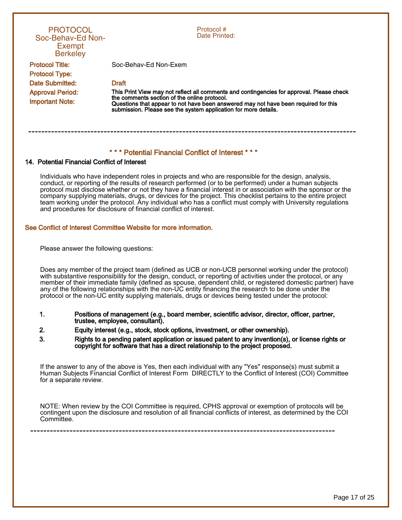| <b>PROTOCOL</b><br>Soc-Behav-Ed Non-<br>Exempt<br><b>Berkeley</b> | Protocol #<br>Date Printed:                                                                                                                                                                                                                                                                         |
|-------------------------------------------------------------------|-----------------------------------------------------------------------------------------------------------------------------------------------------------------------------------------------------------------------------------------------------------------------------------------------------|
| <b>Protocol Title:</b><br><b>Protocol Type:</b>                   | Soc-Behav-Ed Non-Exem                                                                                                                                                                                                                                                                               |
| Date Submitted:                                                   | <b>Draft</b>                                                                                                                                                                                                                                                                                        |
| <b>Approval Period:</b><br><b>Important Note:</b>                 | This Print View may not reflect all comments and contingencies for approval. Please check<br>the comments section of the online protocol.<br>Questions that appear to not have been answered may not have been required for this<br>submission. Please see the system application for more details. |
|                                                                   | *** Potential Financial Conflict of Interest ***                                                                                                                                                                                                                                                    |

## 14. Potential Financial Conflict of Interest

Individuals who have independent roles in projects and who are responsible for the design, analysis, conduct, or reporting of the results of research performed (or to be performed) under a human subjects protocol must disclose whether or not they have a financial interest in or association with the sponsor or the company supplying materials, drugs, or devices for the project. This checklist pertains to the entire project team working under the protocol. Any individual who has a conflict must comply with University regulations and procedures for disclosure of financial conflict of interest.

## See Conflict of Interest Committee Website for more information.

Please answer the following questions:

Does any member of the project team (defined as UCB or non-UCB personnel working under the protocol) with substantive responsibility for the design, conduct, or reporting of activities under the protocol, or any member of their immediate family (defined as spouse, dependent child, or registered domestic partner) have any of the following relationships with the non-UC entity financing the research to be done under the protocol or the non-UC entity supplying materials, drugs or devices being tested under the protocol:

- 1. Positions of management (e.g., board member, scientific advisor, director, officer, partner, trustee, employee, consultant).
- 2. Equity interest (e.g., stock, stock options, investment, or other ownership).
- 3. Rights to a pending patent application or issued patent to any invention(s), or license rights or copyright for software that has a direct relationship to the project proposed.

If the answer to any of the above is Yes, then each individual with any "Yes" response(s) must submit a Human Subjects Financial Conflict of Interest Form DIRECTLY to the Conflict of Interest (COI) Committee for a separate review.

NOTE: When review by the COI Committee is required, CPHS approval or exemption of protocols will be contingent upon the disclosure and resolution of all financial conflicts of interest, as determined by the COI Committee.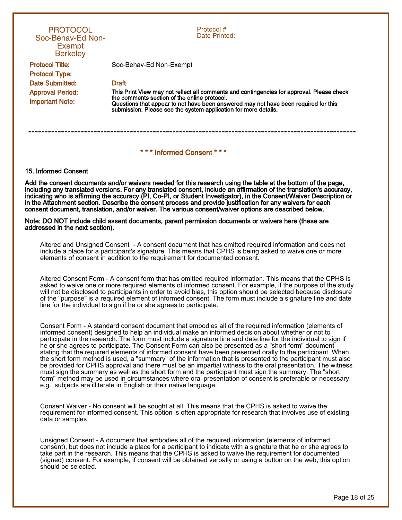| <b>PROTOCOL</b><br>Soc-Behav-Ed Non-<br><b>Exempt</b><br><b>Berkeley</b> | Protocol #<br>Date Printed:                                                                                                                                                                                                                                                                         |
|--------------------------------------------------------------------------|-----------------------------------------------------------------------------------------------------------------------------------------------------------------------------------------------------------------------------------------------------------------------------------------------------|
| <b>Protocol Title:</b><br><b>Protocol Type:</b>                          | Soc-Behav-Ed Non-Exempt                                                                                                                                                                                                                                                                             |
| Date Submitted:                                                          | <b>Draft</b>                                                                                                                                                                                                                                                                                        |
| <b>Approval Period:</b><br><b>Important Note:</b>                        | This Print View may not reflect all comments and contingencies for approval. Please check<br>the comments section of the online protocol.<br>Questions that appear to not have been answered may not have been required for this<br>submission. Please see the system application for more details. |
|                                                                          |                                                                                                                                                                                                                                                                                                     |
|                                                                          | *** Informed Consent ***                                                                                                                                                                                                                                                                            |

#### 15. Informed Consent

Add the consent documents and/or waivers needed for this research using the table at the bottom of the page, including any translated versions. For any translated consent, include an affirmation of the translation's accuracy, indicating who is affirming the accuracy (PI, Co-PI, or Student Investigator), in the Consent/Waiver Description or in the Attachment section. Describe the consent process and provide justification for any waivers for each consent document, translation, and/or waiver. The various consent/waiver options are described below.

#### Note: DO NOT include child assent documents, parent permission documents or waivers here (these are addressed in the next section).

Altered and Unsigned Consent - A consent document that has omitted required information and does not include a place for a participant's signature. This means that CPHS is being asked to waive one or more elements of consent in addition to the requirement for documented consent.

Altered Consent Form - A consent form that has omitted required information. This means that the CPHS is asked to waive one or more required elements of informed consent. For example, if the purpose of the study will not be disclosed to participants in order to avoid bias, this option should be selected because disclosure of the "purpose" is a required element of informed consent. The form must include a signature line and date line for the individual to sign if he or she agrees to participate.

Consent Form - A standard consent document that embodies all of the required information (elements of informed consent) designed to help an individual make an informed decision about whether or not to participate in the research. The form must include a signature line and date line for the individual to sign if he or she agrees to participate. The Consent Form can also be presented as a "short form" document stating that the required elements of informed consent have been presented orally to the participant. When the short form method is used, a "summary" of the information that is presented to the participant must also be provided for CPHS approval and there must be an impartial witness to the oral presentation. The witness must sign the summary as well as the short form and the participant must sign the summary. The "short form" method may be used in circumstances where oral presentation of consent is preferable or necessary, e.g., subjects are illiterate in English or their native language.

Consent Waiver - No consent will be sought at all. This means that the CPHS is asked to waive the requirement for informed consent. This option is often appropriate for research that involves use of existing data or samples

Unsigned Consent - A document that embodies all of the required information (elements of informed consent), but does not include a place for a participant to indicate with a signature that he or she agrees to take part in the research. This means that the CPHS is asked to waive the requirement for documented (signed) consent. For example, if consent will be obtained verbally or using a button on the web, this option should be selected.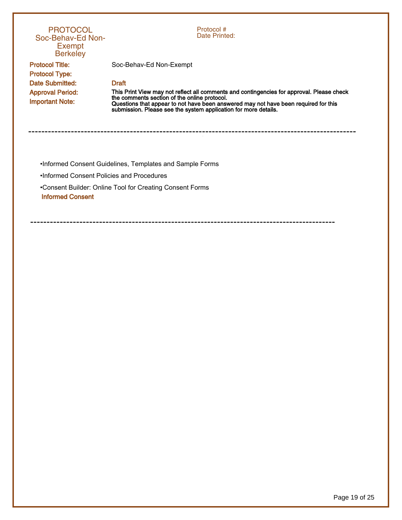| <b>PROTOCOL</b>   |  |
|-------------------|--|
| Soc-Behav-Ed Non- |  |
| <b>Exempt</b>     |  |
| <b>Berkeley</b>   |  |
|                   |  |

Protocol # Date Printed:

Protocol Title: Protocol Type: Date Submitted: Approval Period: Important Note:

Soc-Behav-Ed Non-Exempt

#### Draft

This Print View may not reflect all comments and contingencies for approval. Please check the comments section of the online protocol. Questions that appear to not have been answered may not have been required for this submission. Please see the system application for more details.

- •Informed Consent Guidelines, Templates and Sample Forms
- •Informed Consent Policies and Procedures
- •Consent Builder: Online Tool for Creating Consent Forms Informed Consent

---------------------------------------------------------------------------------------------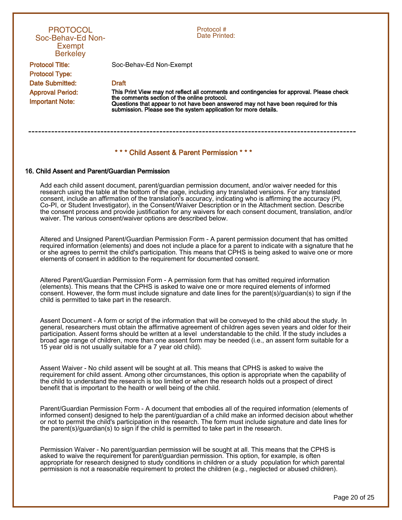| <b>PROTOCOL</b><br>Soc-Behav-Ed Non-<br>Exempt<br><b>Berkeley</b> | Protocol #<br>Date Printed:                                                                                                                                                                                                                                                                         |
|-------------------------------------------------------------------|-----------------------------------------------------------------------------------------------------------------------------------------------------------------------------------------------------------------------------------------------------------------------------------------------------|
| <b>Protocol Title:</b><br><b>Protocol Type:</b>                   | Soc-Behav-Ed Non-Exempt                                                                                                                                                                                                                                                                             |
| Date Submitted:                                                   | Draft                                                                                                                                                                                                                                                                                               |
| <b>Approval Period:</b><br><b>Important Note:</b>                 | This Print View may not reflect all comments and contingencies for approval. Please check<br>the comments section of the online protocol.<br>Questions that appear to not have been answered may not have been required for this<br>submission. Please see the system application for more details. |
|                                                                   | *** Child Assent & Parent Permission ***                                                                                                                                                                                                                                                            |

### 16. Child Assent and Parent/Guardian Permission

Add each child assent document, parent/guardian permission document, and/or waiver needed for this research using the table at the bottom of the page, including any translated versions. For any translated consent, include an affirmation of the translation's accuracy, indicating who is affirming the accuracy (PI, Co-PI, or Student Investigator), in the Consent/Waiver Description or in the Attachment section. Describe the consent process and provide justification for any waivers for each consent document, translation, and/or waiver. The various consent/waiver options are described below.

Altered and Unsigned Parent/Guardian Permission Form - A parent permission document that has omitted required information (elements) and does not include a place for a parent to indicate with a signature that he or she agrees to permit the child's participation. This means that CPHS is being asked to waive one or more elements of consent in addition to the requirement for documented consent.

Altered Parent/Guardian Permission Form - A permission form that has omitted required information (elements). This means that the CPHS is asked to waive one or more required elements of informed consent. However, the form must include signature and date lines for the parent(s)/guardian(s) to sign if the child is permitted to take part in the research.

Assent Document - A form or script of the information that will be conveyed to the child about the study. In general, researchers must obtain the affirmative agreement of children ages seven years and older for their participation. Assent forms should be written at a level understandable to the child. If the study includes a broad age range of children, more than one assent form may be needed (i.e., an assent form suitable for a 15 year old is not usually suitable for a 7 year old child).

Assent Waiver - No child assent will be sought at all. This means that CPHS is asked to waive the requirement for child assent. Among other circumstances, this option is appropriate when the capability of the child to understand the research is too limited or when the research holds out a prospect of direct benefit that is important to the health or well being of the child.

Parent/Guardian Permission Form - A document that embodies all of the required information (elements of informed consent) designed to help the parent/guardian of a child make an informed decision about whether or not to permit the child's participation in the research. The form must include signature and date lines for the parent(s)/guardian(s) to sign if the child is permitted to take part in the research.

Permission Waiver - No parent/guardian permission will be sought at all. This means that the CPHS is asked to waive the requirement for parent/guardian permission. This option, for example, is often appropriate for research designed to study conditions in children or a study population for which parental permission is not a reasonable requirement to protect the children (e.g., neglected or abused children).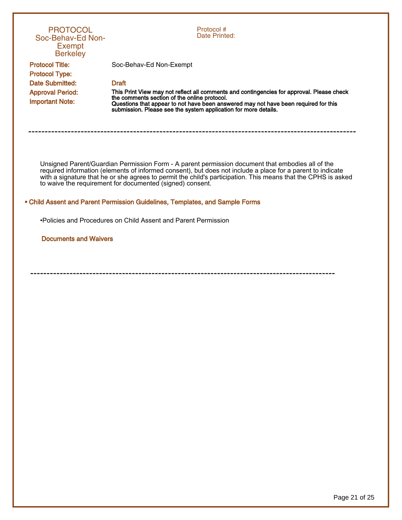| <b>PROTOCOL</b><br>Soc-Behav-Ed Non-<br><b>Exempt</b><br><b>Berkeley</b> | Protocol #<br>Date Printed:                                                                                                                                                                                                                                                                         |
|--------------------------------------------------------------------------|-----------------------------------------------------------------------------------------------------------------------------------------------------------------------------------------------------------------------------------------------------------------------------------------------------|
| <b>Protocol Title:</b><br><b>Protocol Type:</b>                          | Soc-Behav-Ed Non-Exempt                                                                                                                                                                                                                                                                             |
| <b>Date Submitted:</b>                                                   | <b>Draft</b>                                                                                                                                                                                                                                                                                        |
| <b>Approval Period:</b><br><b>Important Note:</b>                        | This Print View may not reflect all comments and contingencies for approval. Please check<br>the comments section of the online protocol.<br>Questions that appear to not have been answered may not have been required for this<br>submission. Please see the system application for more details. |
|                                                                          | Unsigned Parent/Guardian Permission Form - A parent permission document that embodies all of the                                                                                                                                                                                                    |
|                                                                          | required information (elements of informed consent), but does not include a place for a parent to indicate<br>with a signature that he or she agrees to permit the child's participation. This means that the CPHS is asked<br>to waive the requirement for documented (signed) consent.            |
|                                                                          | • Child Assent and Parent Permission Guidelines, Templates, and Sample Forms                                                                                                                                                                                                                        |
|                                                                          | •Policies and Procedures on Child Assent and Parent Permission                                                                                                                                                                                                                                      |
| <b>Documents and Waivers</b>                                             |                                                                                                                                                                                                                                                                                                     |
|                                                                          |                                                                                                                                                                                                                                                                                                     |
|                                                                          |                                                                                                                                                                                                                                                                                                     |
|                                                                          |                                                                                                                                                                                                                                                                                                     |
|                                                                          |                                                                                                                                                                                                                                                                                                     |
|                                                                          |                                                                                                                                                                                                                                                                                                     |
|                                                                          |                                                                                                                                                                                                                                                                                                     |
|                                                                          |                                                                                                                                                                                                                                                                                                     |
|                                                                          |                                                                                                                                                                                                                                                                                                     |
|                                                                          |                                                                                                                                                                                                                                                                                                     |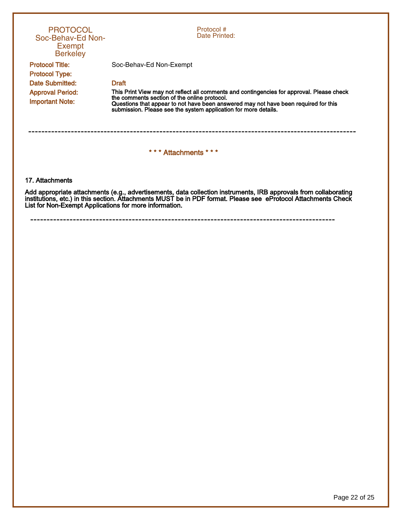| <b>PROTOCOL</b><br>Soc-Behav-Ed Non-<br><b>Exempt</b><br><b>Berkeley</b> | Protocol #<br>Date Printed:                                                                                                                                                                                                                                                                         |
|--------------------------------------------------------------------------|-----------------------------------------------------------------------------------------------------------------------------------------------------------------------------------------------------------------------------------------------------------------------------------------------------|
| <b>Protocol Title:</b><br><b>Protocol Type:</b>                          | Soc-Behav-Ed Non-Exempt                                                                                                                                                                                                                                                                             |
| Date Submitted:                                                          | <b>Draft</b>                                                                                                                                                                                                                                                                                        |
| <b>Approval Period:</b><br><b>Important Note:</b>                        | This Print View may not reflect all comments and contingencies for approval. Please check<br>the comments section of the online protocol.<br>Questions that appear to not have been answered may not have been required for this<br>submission. Please see the system application for more details. |
|                                                                          | *** Attachments ***                                                                                                                                                                                                                                                                                 |

### 17. Attachments

Add appropriate attachments (e.g., advertisements, data collection instruments, IRB approvals from collaborating institutions, etc.) in this section. Attachments MUST be in PDF format. Please see eProtocol Attachments Check List for Non-Exempt Applications for more information.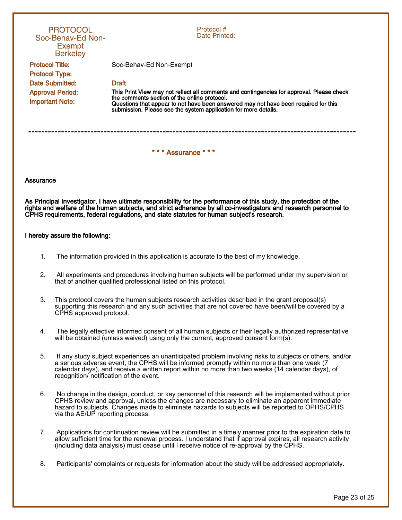| <b>PROTOCOL</b><br>Soc-Behav-Ed Non-<br>Exempt<br><b>Berkeley</b> | Protocol#<br>Date Printed:                                                                                                                                                                                                                                                                          |  |
|-------------------------------------------------------------------|-----------------------------------------------------------------------------------------------------------------------------------------------------------------------------------------------------------------------------------------------------------------------------------------------------|--|
| <b>Protocol Title:</b><br><b>Protocol Type:</b>                   | Soc-Behav-Ed Non-Exempt                                                                                                                                                                                                                                                                             |  |
| Date Submitted:                                                   | <b>Draft</b>                                                                                                                                                                                                                                                                                        |  |
| <b>Approval Period:</b><br><b>Important Note:</b>                 | This Print View may not reflect all comments and contingencies for approval. Please check<br>the comments section of the online protocol.<br>Questions that appear to not have been answered may not have been required for this<br>submission. Please see the system application for more details. |  |
| *** Assurance ***                                                 |                                                                                                                                                                                                                                                                                                     |  |

#### **Assurance**

As Principal Investigator, I have ultimate responsibility for the performance of this study, the protection of the rights and welfare of the human subjects, and strict adherence by all co-investigators and research personnel to CPHS requirements, federal regulations, and state statutes for human subject's research.

#### I hereby assure the following:

- 1. The information provided in this application is accurate to the best of my knowledge.
- 2. All experiments and procedures involving human subjects will be performed under my supervision or that of another qualified professional listed on this protocol.
- 3. This protocol covers the human subjects research activities described in the grant proposal(s) supporting this research and any such activities that are not covered have been/will be covered by a CPHS approved protocol.
- 4. The legally effective informed consent of all human subjects or their legally authorized representative will be obtained (unless waived) using only the current, approved consent form(s).
- 5. If any study subject experiences an unanticipated problem involving risks to subjects or others, and/or a serious adverse event, the CPHS will be informed promptly within no more than one week (7 calendar days), and receive a written report within no more than two weeks (14 calendar days), of recognition/ notification of the event.
- 6. No change in the design, conduct, or key personnel of this research will be implemented without prior CPHS review and approval, unless the changes are necessary to eliminate an apparent immediate hazard to subjects. Changes made to eliminate hazards to subjects will be reported to OPHS/CPHS via the AE/UP reporting process.
- 7. Applications for continuation review will be submitted in a timely manner prior to the expiration date to allow sufficient time for the renewal process. I understand that if approval expires, all research activity (including data analysis) must cease until I receive notice of re-approval by the CPHS.
- 8. Participants' complaints or requests for information about the study will be addressed appropriately.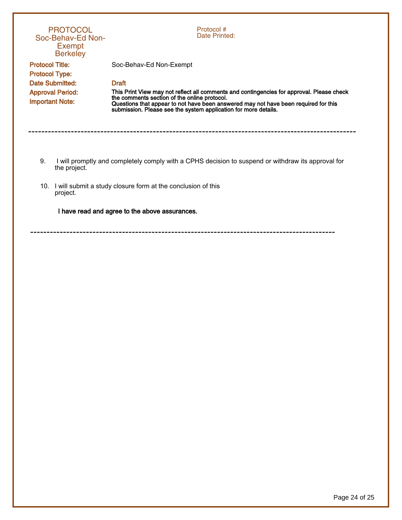|                                                   | <b>PROTOCOL</b><br>Soc-Behav-Ed Non-<br><b>Exempt</b><br><b>Berkeley</b> | Protocol#<br>Date Printed:                                                                                                                                                                                                                                                                          |
|---------------------------------------------------|--------------------------------------------------------------------------|-----------------------------------------------------------------------------------------------------------------------------------------------------------------------------------------------------------------------------------------------------------------------------------------------------|
| <b>Protocol Title:</b><br><b>Protocol Type:</b>   |                                                                          | Soc-Behav-Ed Non-Exempt                                                                                                                                                                                                                                                                             |
| <b>Date Submitted:</b>                            |                                                                          | <b>Draft</b>                                                                                                                                                                                                                                                                                        |
| <b>Approval Period:</b><br><b>Important Note:</b> |                                                                          | This Print View may not reflect all comments and contingencies for approval. Please check<br>the comments section of the online protocol.<br>Questions that appear to not have been answered may not have been required for this<br>submission. Please see the system application for more details. |
| 9.                                                | the project.                                                             | I will promptly and completely comply with a CPHS decision to suspend or withdraw its approval for                                                                                                                                                                                                  |
| 10.                                               | project.                                                                 | I will submit a study closure form at the conclusion of this                                                                                                                                                                                                                                        |
|                                                   |                                                                          | I have read and agree to the above assurances.                                                                                                                                                                                                                                                      |